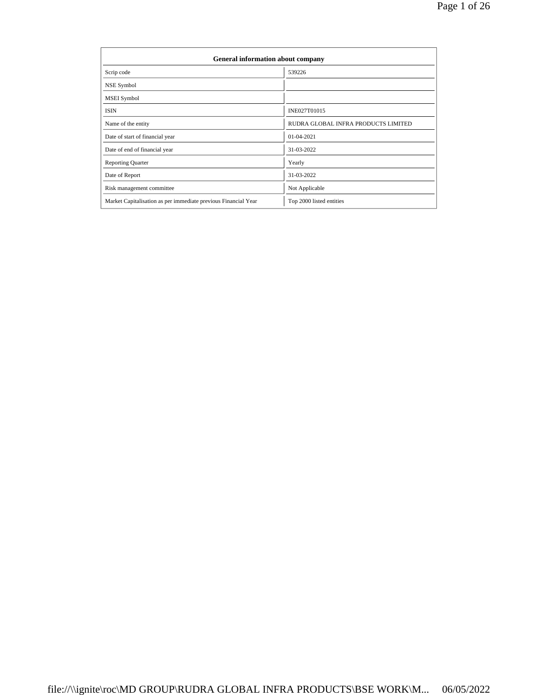| <b>General information about company</b>                       |                                     |  |  |  |  |  |
|----------------------------------------------------------------|-------------------------------------|--|--|--|--|--|
| Scrip code                                                     | 539226                              |  |  |  |  |  |
| NSE Symbol                                                     |                                     |  |  |  |  |  |
| MSEI Symbol                                                    |                                     |  |  |  |  |  |
| <b>ISIN</b>                                                    | INE027T01015                        |  |  |  |  |  |
| Name of the entity                                             | RUDRA GLOBAL INFRA PRODUCTS LIMITED |  |  |  |  |  |
| Date of start of financial year                                | 01-04-2021                          |  |  |  |  |  |
| Date of end of financial year                                  | 31-03-2022                          |  |  |  |  |  |
| <b>Reporting Quarter</b>                                       | Yearly                              |  |  |  |  |  |
| Date of Report                                                 | 31-03-2022                          |  |  |  |  |  |
| Risk management committee                                      | Not Applicable                      |  |  |  |  |  |
| Market Capitalisation as per immediate previous Financial Year | Top 2000 listed entities            |  |  |  |  |  |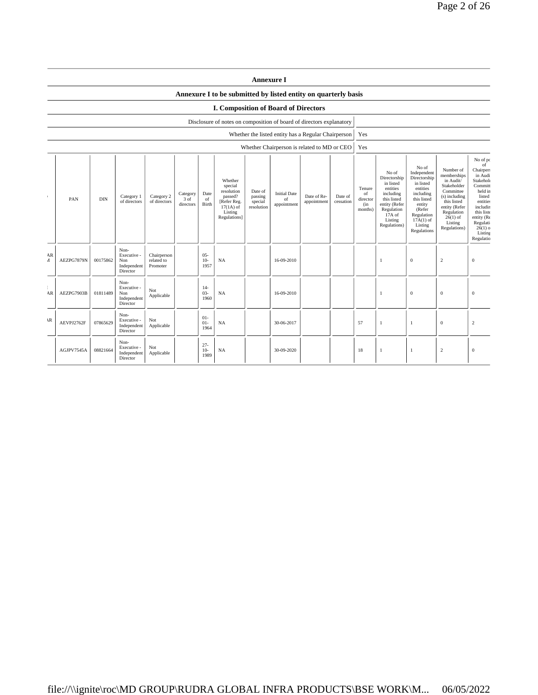|              |            |            |                                                       |                                       |                                 |                          |                                                                                                      | <b>Annexure I</b>                           |                                                     |                            |                      |                                            |                                                                                                                                                  |                                                                                                                                                                      |                                                                                                                                                                           |                                                                                                                                                                                          |
|--------------|------------|------------|-------------------------------------------------------|---------------------------------------|---------------------------------|--------------------------|------------------------------------------------------------------------------------------------------|---------------------------------------------|-----------------------------------------------------|----------------------------|----------------------|--------------------------------------------|--------------------------------------------------------------------------------------------------------------------------------------------------|----------------------------------------------------------------------------------------------------------------------------------------------------------------------|---------------------------------------------------------------------------------------------------------------------------------------------------------------------------|------------------------------------------------------------------------------------------------------------------------------------------------------------------------------------------|
|              |            |            |                                                       |                                       |                                 |                          | Annexure I to be submitted by listed entity on quarterly basis                                       |                                             |                                                     |                            |                      |                                            |                                                                                                                                                  |                                                                                                                                                                      |                                                                                                                                                                           |                                                                                                                                                                                          |
|              |            |            |                                                       |                                       |                                 |                          | <b>I. Composition of Board of Directors</b>                                                          |                                             |                                                     |                            |                      |                                            |                                                                                                                                                  |                                                                                                                                                                      |                                                                                                                                                                           |                                                                                                                                                                                          |
|              |            |            |                                                       |                                       |                                 |                          | Disclosure of notes on composition of board of directors explanatory                                 |                                             |                                                     |                            |                      |                                            |                                                                                                                                                  |                                                                                                                                                                      |                                                                                                                                                                           |                                                                                                                                                                                          |
|              |            |            |                                                       |                                       |                                 |                          |                                                                                                      |                                             | Whether the listed entity has a Regular Chairperson |                            |                      | Yes                                        |                                                                                                                                                  |                                                                                                                                                                      |                                                                                                                                                                           |                                                                                                                                                                                          |
|              |            |            |                                                       |                                       |                                 |                          |                                                                                                      |                                             | Whether Chairperson is related to MD or CEO         |                            |                      | Yes                                        |                                                                                                                                                  |                                                                                                                                                                      |                                                                                                                                                                           |                                                                                                                                                                                          |
|              | PAN        | <b>DIN</b> | Category 1<br>of directors                            | Category 2<br>of directors            | Category<br>$3$ of<br>directors | Date<br>of<br>Birth      | Whether<br>special<br>resolution<br>passed?<br>[Refer Reg.<br>$17(1A)$ of<br>Listing<br>Regulations] | Date of<br>passing<br>special<br>resolution | <b>Initial Date</b><br>of<br>appointment            | Date of Re-<br>appointment | Date of<br>cessation | Tenure<br>of<br>director<br>(in<br>months) | No of<br>Directorship<br>in listed<br>entities<br>including<br>this listed<br>entity (Refer<br>Regulation<br>$17A$ of<br>Listing<br>Regulations) | No of<br>Independent<br>Directorship<br>in listed<br>entities<br>including<br>this listed<br>entity<br>(Refer<br>Regulation<br>$17A(1)$ of<br>Listing<br>Regulations | Number of<br>memberships<br>in Audit/<br>Stakeholder<br>Committee<br>(s) including<br>this listed<br>entity (Refer<br>Regulation<br>$26(1)$ of<br>Listing<br>Regulations) | No of po<br>of<br>Chairpers<br>in Audi<br>Stakehold<br>Committ<br>held in<br>listed<br>entities<br>includin<br>this liste<br>entity (Re<br>Regulati<br>$26(1)$ o<br>Listing<br>Regulatio |
| AR<br>4      | AEZPG7879N | 00175862   | Non-<br>Executive -<br>Non<br>Independent<br>Director | Chairperson<br>related to<br>Promoter |                                 | $05 -$<br>$10-$<br>1957  | NA                                                                                                   |                                             | 16-09-2010                                          |                            |                      |                                            | $\mathbf{1}$                                                                                                                                     | $\mathbf{0}$                                                                                                                                                         | $\overline{c}$                                                                                                                                                            | $\mathbf{0}$                                                                                                                                                                             |
| AR           | AEZPG7903B | 01811489   | Non-<br>Executive -<br>Non<br>Independent<br>Director | Not<br>Applicable                     |                                 | $14-$<br>$03 -$<br>1960  | NA                                                                                                   |                                             | 16-09-2010                                          |                            |                      |                                            | -1                                                                                                                                               | $\mathbf{0}$                                                                                                                                                         | $\mathbf{0}$                                                                                                                                                              | $\mathbf{0}$                                                                                                                                                                             |
| $\mathbf{R}$ | AEVPJ2762F | 07865629   | Non-<br>Executive -<br>Independent<br>Director        | Not<br>Applicable                     |                                 | $01 -$<br>$01 -$<br>1964 | NA                                                                                                   |                                             | 30-06-2017                                          |                            |                      | 57                                         | 1                                                                                                                                                | $\mathbf{1}$                                                                                                                                                         | $\mathbf{0}$                                                                                                                                                              | $\overline{c}$                                                                                                                                                                           |
|              | AGJPV7545A | 08821664   | Non-<br>Executive -<br>Independent<br>Director        | Not<br>Applicable                     |                                 | $27 -$<br>$10-$<br>1989  | <b>NA</b>                                                                                            |                                             | 30-09-2020                                          |                            |                      | 18                                         | $\overline{1}$                                                                                                                                   | $\mathbf{1}$                                                                                                                                                         | 2                                                                                                                                                                         | $\mathbf{0}$                                                                                                                                                                             |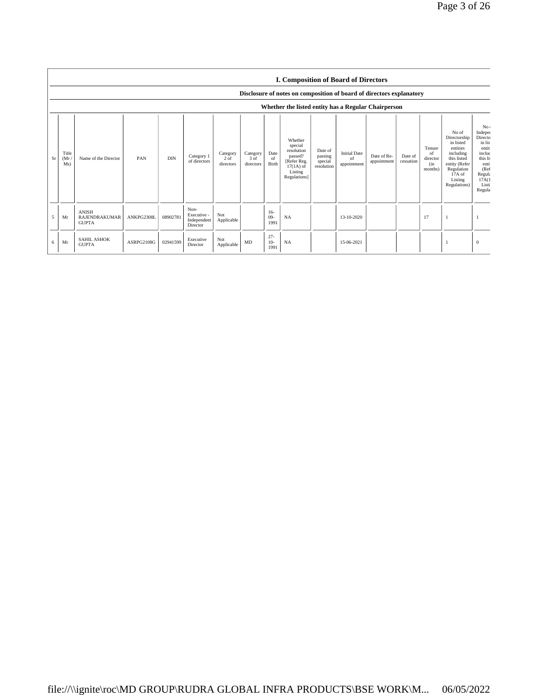|    |                     |                                                      |            |            |                                                |                                           |                               |                         | <b>I. Composition of Board of Directors</b>                                                          |                                             |                                          |                            |                      |                                            |                                                                                                                                                  |                                                                                                                            |
|----|---------------------|------------------------------------------------------|------------|------------|------------------------------------------------|-------------------------------------------|-------------------------------|-------------------------|------------------------------------------------------------------------------------------------------|---------------------------------------------|------------------------------------------|----------------------------|----------------------|--------------------------------------------|--------------------------------------------------------------------------------------------------------------------------------------------------|----------------------------------------------------------------------------------------------------------------------------|
|    |                     |                                                      |            |            |                                                |                                           |                               |                         | Disclosure of notes on composition of board of directors explanatory                                 |                                             |                                          |                            |                      |                                            |                                                                                                                                                  |                                                                                                                            |
|    |                     |                                                      |            |            |                                                |                                           |                               |                         | Whether the listed entity has a Regular Chairperson                                                  |                                             |                                          |                            |                      |                                            |                                                                                                                                                  |                                                                                                                            |
| Sr | Title<br>(Mr<br>Ms) | Name of the Director                                 | PAN        | <b>DIN</b> | Category 1<br>of directors                     | Category<br>2 <sub>o</sub> f<br>directors | Category<br>3 of<br>directors | Date<br>of<br>Birth     | Whether<br>special<br>resolution<br>passed?<br>[Refer Reg.<br>$17(1A)$ of<br>Listing<br>Regulations] | Date of<br>passing<br>special<br>resolution | <b>Initial Date</b><br>of<br>appointment | Date of Re-<br>appointment | Date of<br>cessation | Tenure<br>of<br>director<br>(in<br>months) | No of<br>Directorship<br>in listed<br>entities<br>including<br>this listed<br>entity (Refer<br>Regulation<br>$17A$ of<br>Listing<br>Regulations) | No:<br>Indeper<br>Directo<br>in lis<br>entiti<br>includ<br>this li:<br>enti<br>(Ref<br>Regula<br>17A(1)<br>Listi<br>Regula |
| 5  | Mr                  | <b>ANISH</b><br><b>RAJENDRAKUMAR</b><br><b>GUPTA</b> | ANKPG2308L | 08902781   | Non-<br>Executive -<br>Independent<br>Director | Not<br>Applicable                         |                               | $16-$<br>$09-$<br>1991  | NA                                                                                                   |                                             | 13-10-2020                               |                            |                      | 17                                         |                                                                                                                                                  |                                                                                                                            |
| 6  | Mr                  | <b>SAHIL ASHOK</b><br><b>GUPTA</b>                   | ASRPG2108G | 02941599   | Executive<br>Director                          | Not<br>Applicable                         | MD                            | $27 -$<br>$10-$<br>1991 | NA                                                                                                   |                                             | 15-06-2021                               |                            |                      |                                            |                                                                                                                                                  | $\mathbf{0}$                                                                                                               |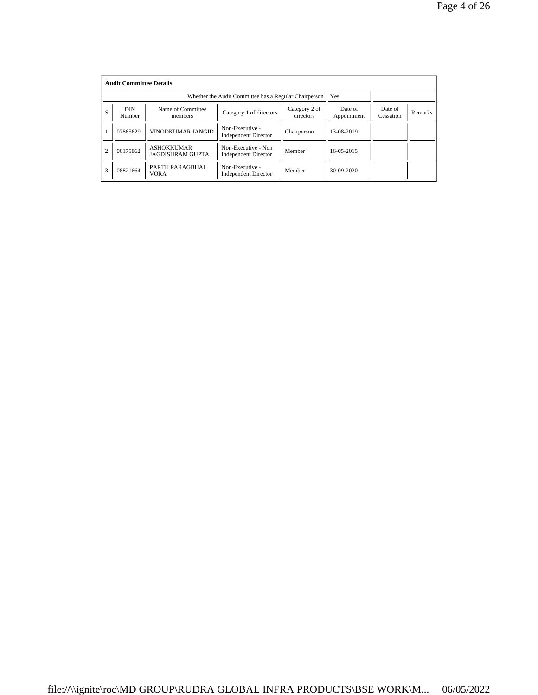|                | <b>Audit Committee Details</b> |                                              |                                                       |                            |                        |                      |         |  |  |  |
|----------------|--------------------------------|----------------------------------------------|-------------------------------------------------------|----------------------------|------------------------|----------------------|---------|--|--|--|
|                |                                |                                              | Whether the Audit Committee has a Regular Chairperson | Yes                        |                        |                      |         |  |  |  |
| Sr             | DIN<br>Number                  | Name of Committee<br>members                 | Category 1 of directors                               | Category 2 of<br>directors | Date of<br>Appointment | Date of<br>Cessation | Remarks |  |  |  |
|                | 07865629                       | VINODKUMAR JANGID                            | Non-Executive -<br><b>Independent Director</b>        | Chairperson                | 13-08-2019             |                      |         |  |  |  |
| $\overline{c}$ | 00175862                       | <b>ASHOKKUMAR</b><br><b>JAGDISHRAM GUPTA</b> | Non-Executive - Non<br><b>Independent Director</b>    | Member                     | 16-05-2015             |                      |         |  |  |  |
| 3              | 08821664                       | PARTH PARAGBHAI<br><b>VORA</b>               | Non-Executive -<br><b>Independent Director</b>        | Member                     | 30-09-2020             |                      |         |  |  |  |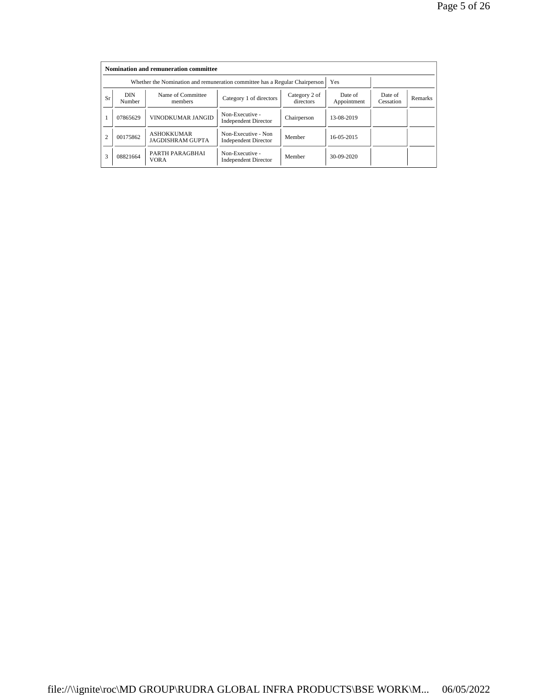|                | Nomination and remuneration committee |                                                                             |                                                    |                            |                        |                      |                |  |  |
|----------------|---------------------------------------|-----------------------------------------------------------------------------|----------------------------------------------------|----------------------------|------------------------|----------------------|----------------|--|--|
|                |                                       | Whether the Nomination and remuneration committee has a Regular Chairperson |                                                    | Yes                        |                        |                      |                |  |  |
| <b>Sr</b>      | <b>DIN</b><br>Number                  | Name of Committee<br>members                                                | Category 1 of directors                            | Category 2 of<br>directors | Date of<br>Appointment | Date of<br>Cessation | <b>Remarks</b> |  |  |
|                | 07865629                              | VINODKUMAR JANGID                                                           | Non-Executive -<br><b>Independent Director</b>     | Chairperson                | 13-08-2019             |                      |                |  |  |
| $\overline{2}$ | 00175862                              | <b>ASHOKKUMAR</b><br><b>JAGDISHRAM GUPTA</b>                                | Non-Executive - Non<br><b>Independent Director</b> | Member                     | 16-05-2015             |                      |                |  |  |
| 3              | 08821664                              | PARTH PARAGBHAI<br><b>VORA</b>                                              | Non-Executive -<br><b>Independent Director</b>     | Member                     | 30-09-2020             |                      |                |  |  |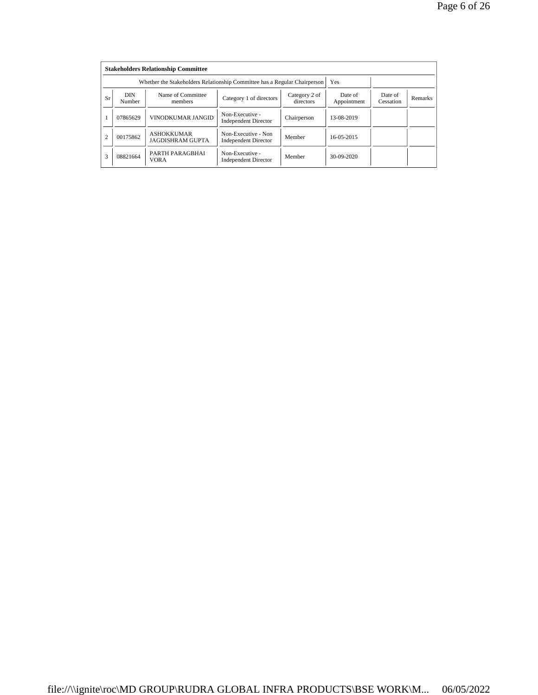|                | <b>Stakeholders Relationship Committee</b> |                                                                           |                                                    |                            |                        |                      |         |  |  |  |
|----------------|--------------------------------------------|---------------------------------------------------------------------------|----------------------------------------------------|----------------------------|------------------------|----------------------|---------|--|--|--|
|                |                                            | Whether the Stakeholders Relationship Committee has a Regular Chairperson |                                                    | Yes                        |                        |                      |         |  |  |  |
| Sr             | <b>DIN</b><br>Number                       | Name of Committee<br>members                                              | Category 1 of directors                            | Category 2 of<br>directors | Date of<br>Appointment | Date of<br>Cessation | Remarks |  |  |  |
|                | 07865629                                   | VINODKUMAR JANGID                                                         | Non-Executive -<br><b>Independent Director</b>     | Chairperson                | 13-08-2019             |                      |         |  |  |  |
| $\overline{2}$ | 00175862                                   | <b>ASHOKKUMAR</b><br><b>JAGDISHRAM GUPTA</b>                              | Non-Executive - Non<br><b>Independent Director</b> | Member                     | 16-05-2015             |                      |         |  |  |  |
| 3              | 08821664                                   | PARTH PARAGBHAI<br><b>VORA</b>                                            | Non-Executive -<br><b>Independent Director</b>     | Member                     | 30-09-2020             |                      |         |  |  |  |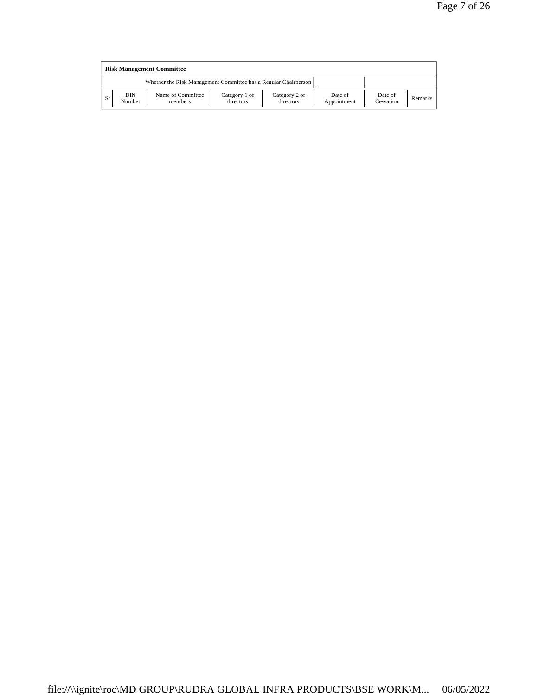|                                                                 | <b>Risk Management Committee</b> |                              |                            |                            |                        |                      |         |  |  |  |
|-----------------------------------------------------------------|----------------------------------|------------------------------|----------------------------|----------------------------|------------------------|----------------------|---------|--|--|--|
| Whether the Risk Management Committee has a Regular Chairperson |                                  |                              |                            |                            |                        |                      |         |  |  |  |
| Sr                                                              | DIN<br>Number                    | Name of Committee<br>members | Category 1 of<br>directors | Category 2 of<br>directors | Date of<br>Appointment | Date of<br>Cessation | Remarks |  |  |  |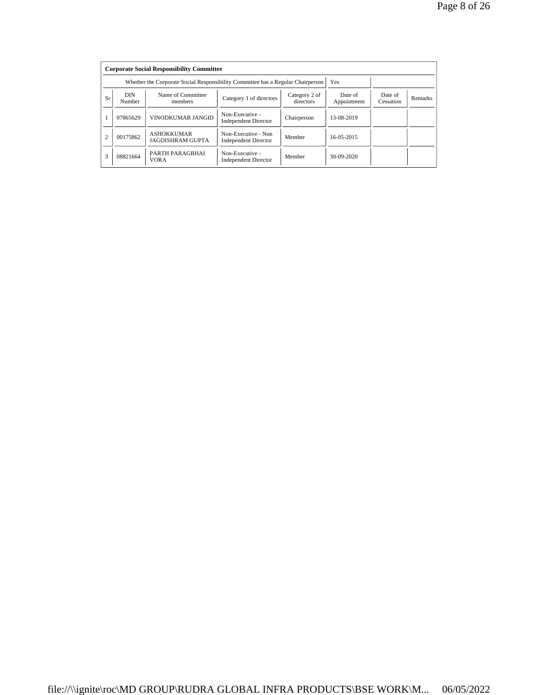|                | <b>Corporate Social Responsibility Committee</b> |                                                                                 |                                                    |                            |                        |                      |         |  |  |
|----------------|--------------------------------------------------|---------------------------------------------------------------------------------|----------------------------------------------------|----------------------------|------------------------|----------------------|---------|--|--|
|                |                                                  | Whether the Corporate Social Responsibility Committee has a Regular Chairperson |                                                    | Yes                        |                        |                      |         |  |  |
| <b>Sr</b>      | <b>DIN</b><br>Number                             | Name of Committee<br>members                                                    | Category 1 of directors                            | Category 2 of<br>directors | Date of<br>Appointment | Date of<br>Cessation | Remarks |  |  |
|                | 07865629                                         | VINODKUMAR JANGID                                                               | Non-Executive -<br><b>Independent Director</b>     | Chairperson                | 13-08-2019             |                      |         |  |  |
| $\overline{2}$ | 00175862                                         | <b>ASHOKKUMAR</b><br><b>JAGDISHRAM GUPTA</b>                                    | Non-Executive - Non<br><b>Independent Director</b> | Member                     | 16-05-2015             |                      |         |  |  |
| 3              | 08821664                                         | PARTH PARAGBHAI<br><b>VORA</b>                                                  | Non-Executive -<br><b>Independent Director</b>     | Member                     | 30-09-2020             |                      |         |  |  |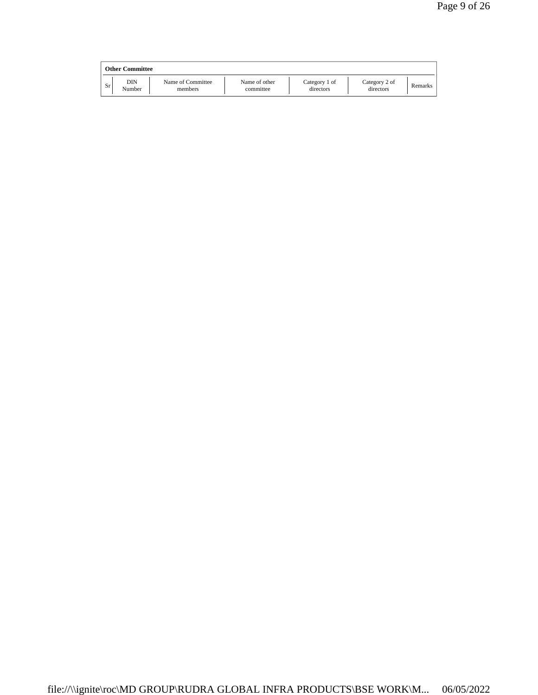|    | <b>Other Committee</b> |                              |                            |                            |                            |         |
|----|------------------------|------------------------------|----------------------------|----------------------------|----------------------------|---------|
| Sr | DIN<br>Number          | Name of Committee<br>members | Name of other<br>committee | Category 1 of<br>directors | Category 2 of<br>directors | Remarks |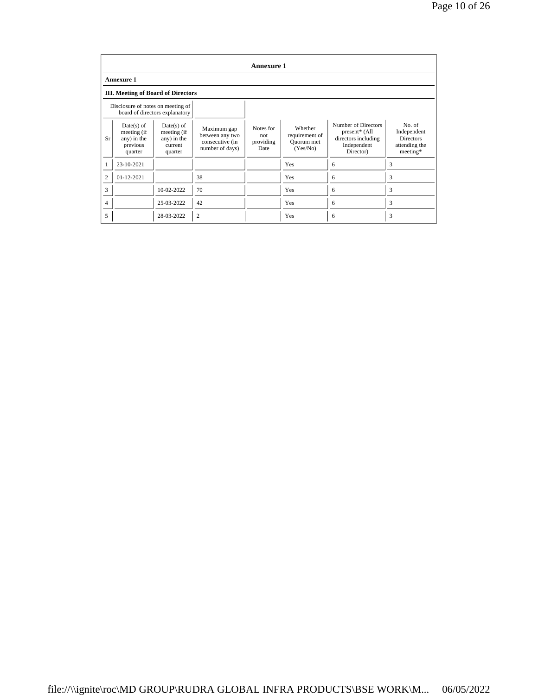|                | <b>Annexure 1</b>                                                 |                                                                  |                                                                      |                                       |                                                     |                                                                                         |                                                                        |  |  |
|----------------|-------------------------------------------------------------------|------------------------------------------------------------------|----------------------------------------------------------------------|---------------------------------------|-----------------------------------------------------|-----------------------------------------------------------------------------------------|------------------------------------------------------------------------|--|--|
|                | <b>Annexure 1</b>                                                 |                                                                  |                                                                      |                                       |                                                     |                                                                                         |                                                                        |  |  |
|                | <b>III.</b> Meeting of Board of Directors                         |                                                                  |                                                                      |                                       |                                                     |                                                                                         |                                                                        |  |  |
|                | Disclosure of notes on meeting of                                 | board of directors explanatory                                   |                                                                      |                                       |                                                     |                                                                                         |                                                                        |  |  |
| <b>Sr</b>      | $Date(s)$ of<br>meeting (if<br>any) in the<br>previous<br>quarter | $Date(s)$ of<br>meeting (if<br>any) in the<br>current<br>quarter | Maximum gap<br>between any two<br>consecutive (in<br>number of days) | Notes for<br>not<br>providing<br>Date | Whether<br>requirement of<br>Quorum met<br>(Yes/No) | Number of Directors<br>present* (All<br>directors including<br>Independent<br>Director) | No. of<br>Independent<br><b>Directors</b><br>attending the<br>meeting* |  |  |
|                | 23-10-2021                                                        |                                                                  |                                                                      |                                       | Yes                                                 | 6                                                                                       | 3                                                                      |  |  |
| $\overline{2}$ | $01 - 12 - 2021$                                                  |                                                                  | 38                                                                   |                                       | Yes                                                 | 6                                                                                       | 3                                                                      |  |  |
| 3              |                                                                   | 10-02-2022                                                       | 70                                                                   |                                       | Yes                                                 | 6                                                                                       | 3                                                                      |  |  |
| 4              |                                                                   | 25-03-2022                                                       | 42                                                                   |                                       | Yes                                                 | 6                                                                                       | 3                                                                      |  |  |
| 5              |                                                                   | 28-03-2022                                                       | $\overline{c}$                                                       |                                       | Yes                                                 | 6                                                                                       | 3                                                                      |  |  |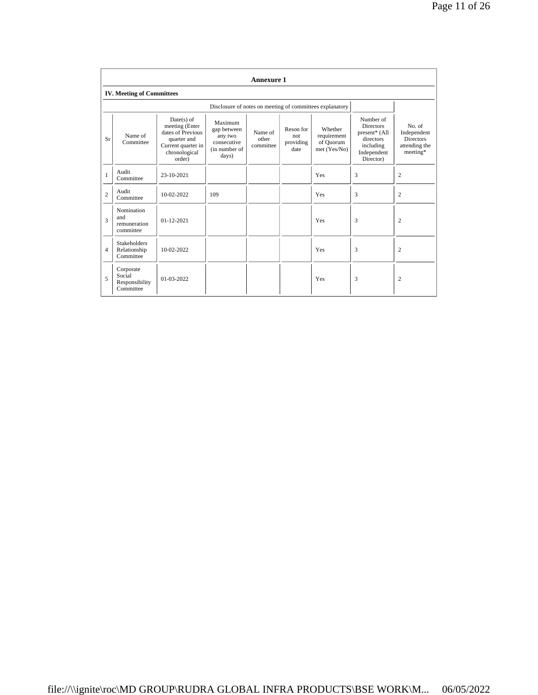|                | <b>Annexure 1</b>                                  |                                                                                                                     |                                                                            |                               |                                       |                                                          |                                                                                                      |                                                                        |  |  |
|----------------|----------------------------------------------------|---------------------------------------------------------------------------------------------------------------------|----------------------------------------------------------------------------|-------------------------------|---------------------------------------|----------------------------------------------------------|------------------------------------------------------------------------------------------------------|------------------------------------------------------------------------|--|--|
|                | <b>IV. Meeting of Committees</b>                   |                                                                                                                     |                                                                            |                               |                                       |                                                          |                                                                                                      |                                                                        |  |  |
|                |                                                    |                                                                                                                     |                                                                            |                               |                                       | Disclosure of notes on meeting of committees explanatory |                                                                                                      |                                                                        |  |  |
| <b>Sr</b>      | Name of<br>Committee                               | $Date(s)$ of<br>meeting (Enter<br>dates of Previous<br>quarter and<br>Current quarter in<br>chronological<br>order) | Maximum<br>gap between<br>any two<br>consecutive<br>(in number of<br>days) | Name of<br>other<br>committee | Reson for<br>not<br>providing<br>date | Whether<br>requirement<br>of Quorum<br>met(Yes/No)       | Number of<br><b>Directors</b><br>present* (All<br>directors<br>including<br>Independent<br>Director) | No. of<br>Independent<br><b>Directors</b><br>attending the<br>meeting* |  |  |
| $\mathbf{1}$   | Audit<br>Committee                                 | 23-10-2021                                                                                                          |                                                                            |                               |                                       | Yes                                                      | 3                                                                                                    | 2                                                                      |  |  |
| $\overline{c}$ | Audit<br>Committee                                 | 10-02-2022                                                                                                          | 109                                                                        |                               |                                       | Yes                                                      | 3                                                                                                    | $\overline{c}$                                                         |  |  |
| 3              | Nomination<br>and<br>remuneration<br>committee     | $01 - 12 - 2021$                                                                                                    |                                                                            |                               |                                       | Yes                                                      | 3                                                                                                    | $\overline{2}$                                                         |  |  |
| $\overline{4}$ | <b>Stakeholders</b><br>Relationship<br>Committee   | 10-02-2022                                                                                                          |                                                                            |                               |                                       | Yes                                                      | 3                                                                                                    | $\overline{2}$                                                         |  |  |
| 5              | Corporate<br>Social<br>Responsibility<br>Committee | $01-03-2022$                                                                                                        |                                                                            |                               |                                       | Yes                                                      | 3                                                                                                    | $\overline{c}$                                                         |  |  |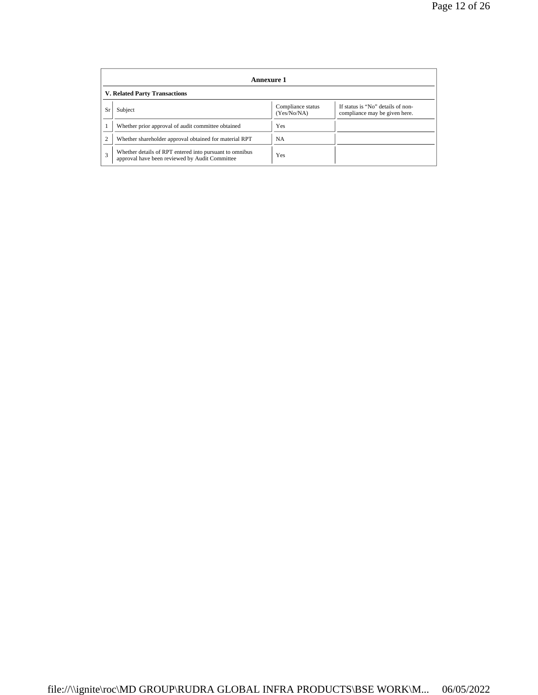|    | Annexure 1                                                                                                |                                  |                                                                    |  |  |  |  |
|----|-----------------------------------------------------------------------------------------------------------|----------------------------------|--------------------------------------------------------------------|--|--|--|--|
|    | <b>V. Related Party Transactions</b>                                                                      |                                  |                                                                    |  |  |  |  |
| Sr | Subject                                                                                                   | Compliance status<br>(Yes/No/NA) | If status is "No" details of non-<br>compliance may be given here. |  |  |  |  |
|    | Whether prior approval of audit committee obtained                                                        | Yes                              |                                                                    |  |  |  |  |
|    | Whether shareholder approval obtained for material RPT                                                    | <b>NA</b>                        |                                                                    |  |  |  |  |
| 3  | Whether details of RPT entered into pursuant to omnibus<br>approval have been reviewed by Audit Committee | Yes                              |                                                                    |  |  |  |  |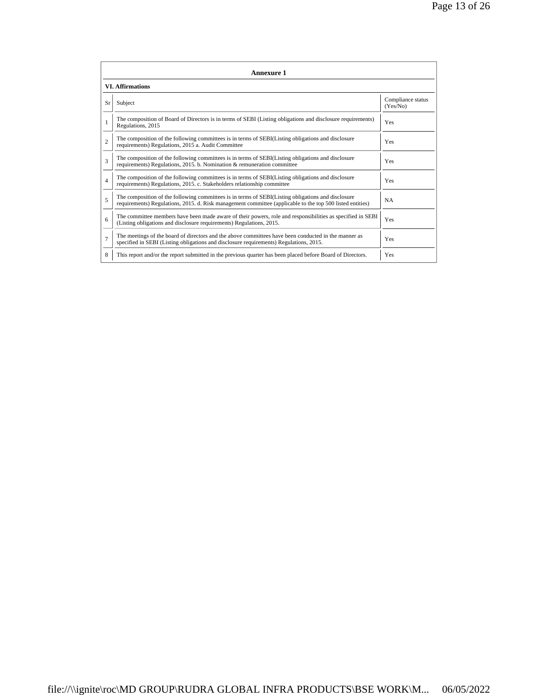|                          | Annexure 1                                                                                                                                                                                                      |                               |
|--------------------------|-----------------------------------------------------------------------------------------------------------------------------------------------------------------------------------------------------------------|-------------------------------|
|                          | <b>VI. Affirmations</b>                                                                                                                                                                                         |                               |
| Sr                       | Subject                                                                                                                                                                                                         | Compliance status<br>(Yes/No) |
|                          | The composition of Board of Directors is in terms of SEBI (Listing obligations and disclosure requirements)<br>Regulations, 2015                                                                                | Yes                           |
| $\mathfrak{D}$           | The composition of the following committees is in terms of SEBI(Listing obligations and disclosure<br>requirements) Regulations, 2015 a. Audit Committee                                                        | Yes                           |
| 3                        | The composition of the following committees is in terms of SEBI(Listing obligations and disclosure<br>requirements) Regulations, 2015. b. Nomination & remuneration committee                                   | Yes                           |
| $\overline{4}$           | The composition of the following committees is in terms of SEBI(Listing obligations and disclosure<br>requirements) Regulations, 2015. c. Stakeholders relationship committee                                   | Yes                           |
| $\overline{\phantom{0}}$ | The composition of the following committees is in terms of SEBI(Listing obligations and disclosure<br>requirements) Regulations, 2015. d. Risk management committee (applicable to the top 500 listed entities) | <b>NA</b>                     |
| 6                        | The committee members have been made aware of their powers, role and responsibilities as specified in SEBI<br>(Listing obligations and disclosure requirements) Regulations, 2015.                              | Yes                           |
| $\overline{7}$           | The meetings of the board of directors and the above committees have been conducted in the manner as<br>specified in SEBI (Listing obligations and disclosure requirements) Regulations, 2015.                  | Yes                           |
| 8                        | This report and/or the report submitted in the previous quarter has been placed before Board of Directors.                                                                                                      | Yes                           |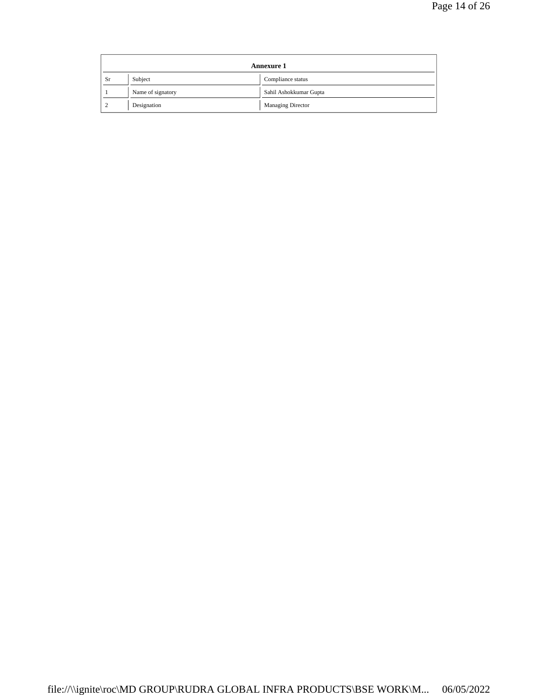|                | Annexure 1        |                          |  |  |
|----------------|-------------------|--------------------------|--|--|
| Sr             | Subject           | Compliance status        |  |  |
|                | Name of signatory | Sahil Ashokkumar Gupta   |  |  |
| $\overline{2}$ | Designation       | <b>Managing Director</b> |  |  |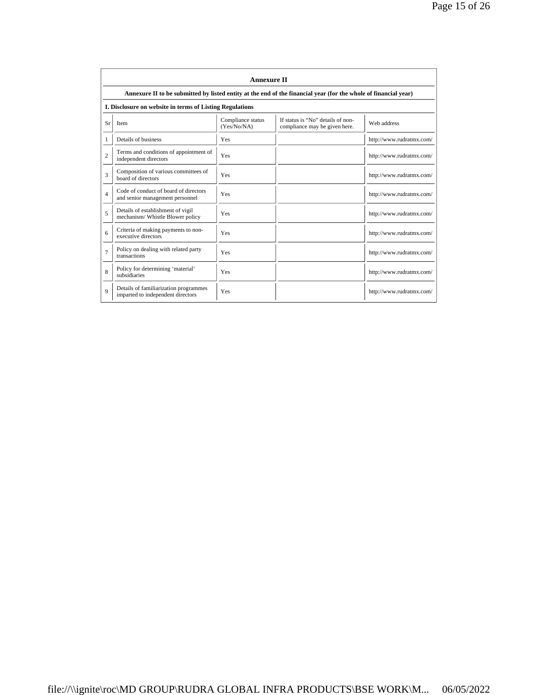|                | <b>Annexure II</b>                                                                                              |                                  |                                                                    |                          |  |
|----------------|-----------------------------------------------------------------------------------------------------------------|----------------------------------|--------------------------------------------------------------------|--------------------------|--|
|                | Annexure II to be submitted by listed entity at the end of the financial year (for the whole of financial year) |                                  |                                                                    |                          |  |
|                | I. Disclosure on website in terms of Listing Regulations                                                        |                                  |                                                                    |                          |  |
| Sr             | Item                                                                                                            | Compliance status<br>(Yes/No/NA) | If status is "No" details of non-<br>compliance may be given here. | Web address              |  |
| 1              | Details of business                                                                                             | Yes                              |                                                                    | http://www.rudratmx.com/ |  |
| $\overline{c}$ | Terms and conditions of appointment of<br>independent directors                                                 | Yes                              |                                                                    | http://www.rudratmx.com/ |  |
| 3              | Composition of various committees of<br>board of directors                                                      | Yes                              |                                                                    | http://www.rudratmx.com/ |  |
| $\overline{4}$ | Code of conduct of board of directors<br>and senior management personnel                                        | Yes                              |                                                                    | http://www.rudratmx.com/ |  |
| 5              | Details of establishment of vigil<br>mechanism/Whistle Blower policy                                            | Yes                              |                                                                    | http://www.rudratmx.com/ |  |
| 6              | Criteria of making payments to non-<br>executive directors                                                      | Yes                              |                                                                    | http://www.rudratmx.com/ |  |
| $\overline{7}$ | Policy on dealing with related party<br>transactions                                                            | Yes                              |                                                                    | http://www.rudratmx.com/ |  |
| 8              | Policy for determining 'material'<br>subsidiaries                                                               | Yes                              |                                                                    | http://www.rudratmx.com/ |  |
| $\mathbf Q$    | Details of familiarization programmes<br>imparted to independent directors                                      | Yes                              |                                                                    | http://www.rudratmx.com/ |  |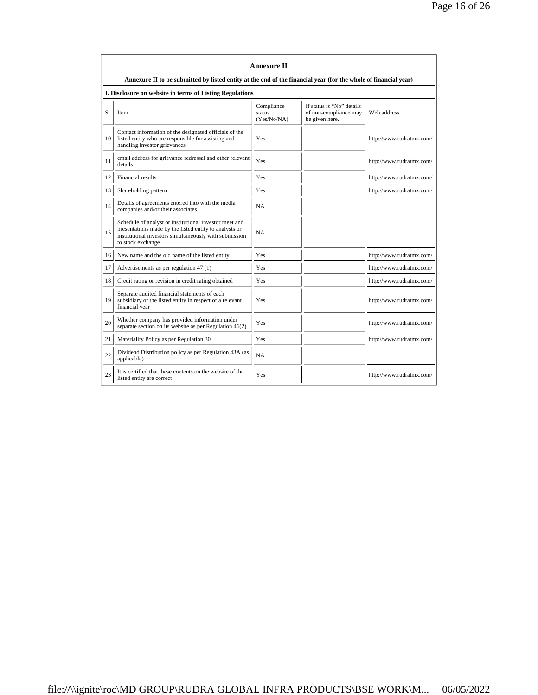|    |                                                                                                                                                                                                 | <b>Annexure II</b>                  |                                                                      |                          |
|----|-------------------------------------------------------------------------------------------------------------------------------------------------------------------------------------------------|-------------------------------------|----------------------------------------------------------------------|--------------------------|
|    | Annexure II to be submitted by listed entity at the end of the financial year (for the whole of financial year)                                                                                 |                                     |                                                                      |                          |
|    | I. Disclosure on website in terms of Listing Regulations                                                                                                                                        |                                     |                                                                      |                          |
| Sr | <b>Item</b>                                                                                                                                                                                     | Compliance<br>status<br>(Yes/No/NA) | If status is "No" details<br>of non-compliance may<br>be given here. | Web address              |
| 10 | Contact information of the designated officials of the<br>listed entity who are responsible for assisting and<br>handling investor grievances                                                   | Yes                                 |                                                                      | http://www.rudratmx.com/ |
| 11 | email address for grievance redressal and other relevant<br>details                                                                                                                             | Yes                                 |                                                                      | http://www.rudratmx.com/ |
| 12 | Financial results                                                                                                                                                                               | Yes                                 |                                                                      | http://www.rudratmx.com/ |
| 13 | Shareholding pattern                                                                                                                                                                            | Yes                                 |                                                                      | http://www.rudratmx.com/ |
| 14 | Details of agreements entered into with the media<br>companies and/or their associates                                                                                                          | <b>NA</b>                           |                                                                      |                          |
| 15 | Schedule of analyst or institutional investor meet and<br>presentations made by the listed entity to analysts or<br>institutional investors simultaneously with submission<br>to stock exchange | <b>NA</b>                           |                                                                      |                          |
| 16 | New name and the old name of the listed entity                                                                                                                                                  | <b>Yes</b>                          |                                                                      | http://www.rudratmx.com/ |
| 17 | Advertisements as per regulation 47 (1)                                                                                                                                                         | Yes                                 |                                                                      | http://www.rudratmx.com/ |
| 18 | Credit rating or revision in credit rating obtained                                                                                                                                             | Yes                                 |                                                                      | http://www.rudratmx.com/ |
| 19 | Separate audited financial statements of each<br>subsidiary of the listed entity in respect of a relevant<br>financial year                                                                     | Yes                                 |                                                                      | http://www.rudratmx.com/ |
| 20 | Whether company has provided information under<br>separate section on its website as per Regulation 46(2)                                                                                       | Yes                                 |                                                                      | http://www.rudratmx.com/ |
| 21 | Materiality Policy as per Regulation 30                                                                                                                                                         | Yes                                 |                                                                      | http://www.rudratmx.com/ |
| 22 | Dividend Distribution policy as per Regulation 43A (as<br>applicable)                                                                                                                           | <b>NA</b>                           |                                                                      |                          |
| 23 | It is certified that these contents on the website of the<br>listed entity are correct                                                                                                          | Yes                                 |                                                                      | http://www.rudratmx.com/ |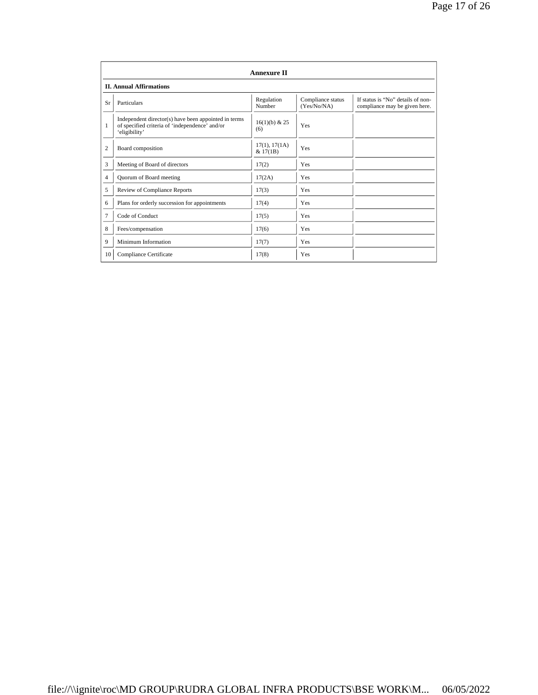|              |                                                                                                                         | <b>Annexure II</b>        |                                  |                                                                    |
|--------------|-------------------------------------------------------------------------------------------------------------------------|---------------------------|----------------------------------|--------------------------------------------------------------------|
|              | <b>II. Annual Affirmations</b>                                                                                          |                           |                                  |                                                                    |
| Sr           | Particulars                                                                                                             | Regulation<br>Number      | Compliance status<br>(Yes/No/NA) | If status is "No" details of non-<br>compliance may be given here. |
| $\mathbf{1}$ | Independent director(s) have been appointed in terms<br>of specified criteria of 'independence' and/or<br>'eligibility' | $16(1)(b)$ & 25<br>(6)    | Yes                              |                                                                    |
| 2            | Board composition                                                                                                       | 17(1), 17(1A)<br>& 17(1B) | Yes                              |                                                                    |
| 3            | Meeting of Board of directors                                                                                           | 17(2)                     | Yes                              |                                                                    |
| 4            | Quorum of Board meeting                                                                                                 | 17(2A)                    | Yes                              |                                                                    |
| 5            | Review of Compliance Reports                                                                                            | 17(3)                     | Yes                              |                                                                    |
| 6            | Plans for orderly succession for appointments                                                                           | 17(4)                     | Yes                              |                                                                    |
| 7            | Code of Conduct                                                                                                         | 17(5)                     | Yes                              |                                                                    |
| 8            | Fees/compensation                                                                                                       | 17(6)                     | Yes                              |                                                                    |
| 9            | Minimum Information                                                                                                     | 17(7)                     | Yes                              |                                                                    |
| 10           | Compliance Certificate                                                                                                  | 17(8)                     | Yes                              |                                                                    |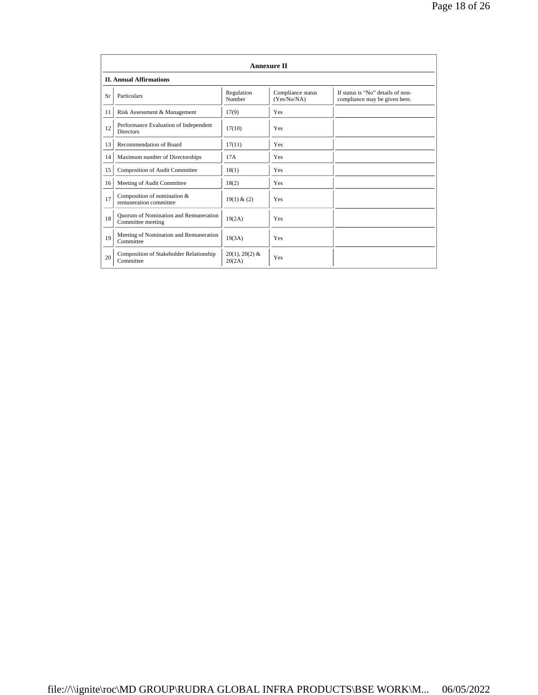|    | <b>Annexure II</b>                                         |                            |                                  |                                                                    |  |
|----|------------------------------------------------------------|----------------------------|----------------------------------|--------------------------------------------------------------------|--|
|    | <b>II. Annual Affirmations</b>                             |                            |                                  |                                                                    |  |
| Sr | Particulars                                                | Regulation<br>Number       | Compliance status<br>(Yes/No/NA) | If status is "No" details of non-<br>compliance may be given here. |  |
| 11 | Risk Assessment & Management                               | 17(9)                      | Yes                              |                                                                    |  |
| 12 | Performance Evaluation of Independent<br><b>Directors</b>  | 17(10)                     | Yes                              |                                                                    |  |
| 13 | Recommendation of Board                                    | 17(11)                     | Yes                              |                                                                    |  |
| 14 | Maximum number of Directorships                            | 17A                        | Yes                              |                                                                    |  |
| 15 | <b>Composition of Audit Committee</b>                      | 18(1)                      | Yes                              |                                                                    |  |
| 16 | Meeting of Audit Committee                                 | 18(2)                      | Yes                              |                                                                    |  |
| 17 | Composition of nomination &<br>remuneration committee      | 19(1) & (2)                | Yes                              |                                                                    |  |
| 18 | Ouorum of Nomination and Remuneration<br>Committee meeting | 19(2A)                     | Yes                              |                                                                    |  |
| 19 | Meeting of Nomination and Remuneration<br>Committee        | 19(3A)                     | Yes                              |                                                                    |  |
| 20 | Composition of Stakeholder Relationship<br>Committee       | $20(1), 20(2)$ &<br>20(2A) | Yes                              |                                                                    |  |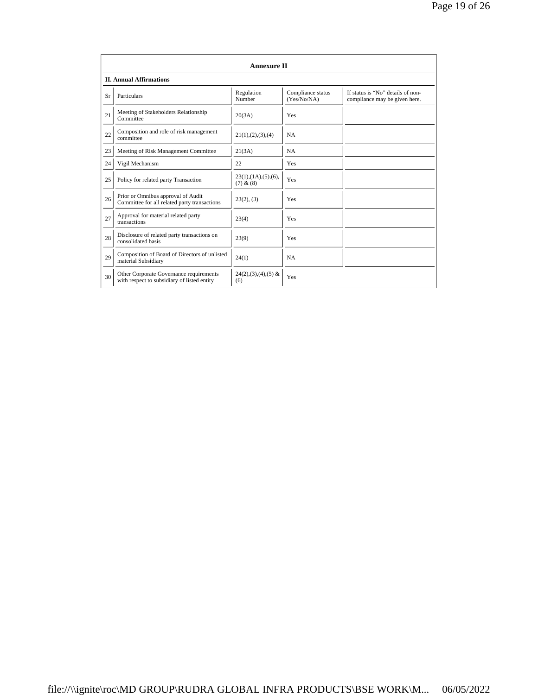|    | <b>Annexure II</b>                                                                     |                                                 |                                  |                                                                    |
|----|----------------------------------------------------------------------------------------|-------------------------------------------------|----------------------------------|--------------------------------------------------------------------|
|    | <b>II. Annual Affirmations</b>                                                         |                                                 |                                  |                                                                    |
| Sr | Particulars                                                                            | Regulation<br>Number                            | Compliance status<br>(Yes/No/NA) | If status is "No" details of non-<br>compliance may be given here. |
| 21 | Meeting of Stakeholders Relationship<br>Committee                                      | 20(3A)                                          | Yes                              |                                                                    |
| 22 | Composition and role of risk management<br>committee                                   | 21(1), (2), (3), (4)                            | <b>NA</b>                        |                                                                    |
| 23 | Meeting of Risk Management Committee                                                   | 21(3A)                                          | <b>NA</b>                        |                                                                    |
| 24 | Vigil Mechanism                                                                        | 22                                              | <b>Yes</b>                       |                                                                    |
| 25 | Policy for related party Transaction                                                   | $23(1)$ , $(1A)$ , $(5)$ , $(6)$ ,<br>(7) & (8) | Yes                              |                                                                    |
| 26 | Prior or Omnibus approval of Audit<br>Committee for all related party transactions     | 23(2), (3)                                      | Yes                              |                                                                    |
| 27 | Approval for material related party<br>transactions                                    | 23(4)                                           | Yes                              |                                                                    |
| 28 | Disclosure of related party transactions on<br>consolidated basis                      | 23(9)                                           | Yes                              |                                                                    |
| 29 | Composition of Board of Directors of unlisted<br>material Subsidiary                   | 24(1)                                           | <b>NA</b>                        |                                                                    |
| 30 | Other Corporate Governance requirements<br>with respect to subsidiary of listed entity | $24(2),(3),(4),(5)$ &<br>(6)                    | Yes                              |                                                                    |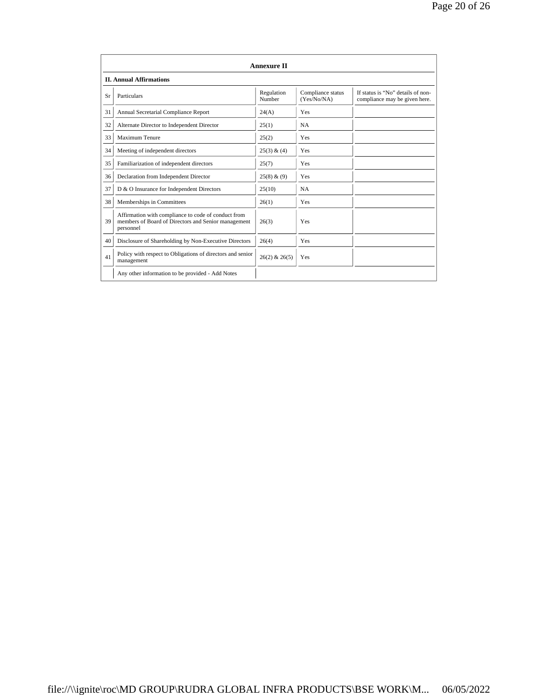|    |                                                                                                                         | <b>Annexure II</b>   |                                  |                                                                    |
|----|-------------------------------------------------------------------------------------------------------------------------|----------------------|----------------------------------|--------------------------------------------------------------------|
|    | <b>II. Annual Affirmations</b>                                                                                          |                      |                                  |                                                                    |
| Sr | Particulars                                                                                                             | Regulation<br>Number | Compliance status<br>(Yes/No/NA) | If status is "No" details of non-<br>compliance may be given here. |
| 31 | Annual Secretarial Compliance Report                                                                                    | 24(A)                | Yes                              |                                                                    |
| 32 | Alternate Director to Independent Director                                                                              | 25(1)                | <b>NA</b>                        |                                                                    |
| 33 | <b>Maximum Tenure</b>                                                                                                   | 25(2)                | Yes                              |                                                                    |
| 34 | Meeting of independent directors                                                                                        | 25(3) & (4)          | Yes                              |                                                                    |
| 35 | Familiarization of independent directors                                                                                | 25(7)                | Yes                              |                                                                    |
| 36 | Declaration from Independent Director                                                                                   | 25(8) & (9)          | Yes                              |                                                                    |
| 37 | D & O Insurance for Independent Directors                                                                               | 25(10)               | <b>NA</b>                        |                                                                    |
| 38 | Memberships in Committees                                                                                               | 26(1)                | Yes                              |                                                                    |
| 39 | Affirmation with compliance to code of conduct from<br>members of Board of Directors and Senior management<br>personnel | 26(3)                | Yes                              |                                                                    |
| 40 | Disclosure of Shareholding by Non-Executive Directors                                                                   | 26(4)                | Yes                              |                                                                    |
| 41 | Policy with respect to Obligations of directors and senior<br>management                                                | $26(2)$ & $26(5)$    | Yes                              |                                                                    |
|    | Any other information to be provided - Add Notes                                                                        |                      |                                  |                                                                    |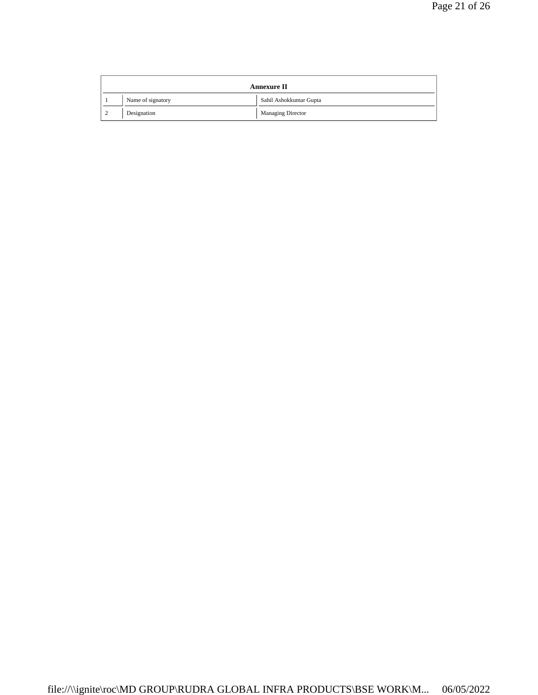|          |                   | <b>Annexure II</b>       |
|----------|-------------------|--------------------------|
|          | Name of signatory | Sahil Ashokkumar Gupta   |
| $\Omega$ | Designation       | <b>Managing Director</b> |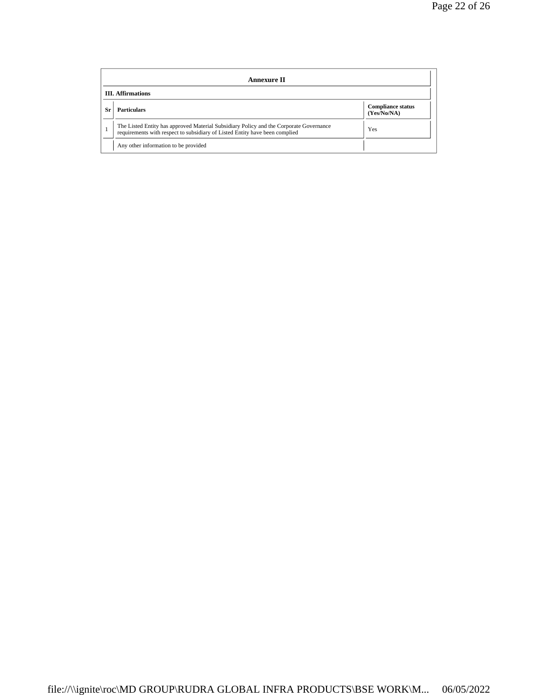|     | Annexure II                                                                                                                                                           |                                         |  |  |  |
|-----|-----------------------------------------------------------------------------------------------------------------------------------------------------------------------|-----------------------------------------|--|--|--|
|     | <b>III.</b> Affirmations                                                                                                                                              |                                         |  |  |  |
| -Sr | <b>Particulars</b>                                                                                                                                                    | <b>Compliance status</b><br>(Yes/No/NA) |  |  |  |
|     | The Listed Entity has approved Material Subsidiary Policy and the Corporate Governance<br>requirements with respect to subsidiary of Listed Entity have been complied | <b>Yes</b>                              |  |  |  |
|     | Any other information to be provided                                                                                                                                  |                                         |  |  |  |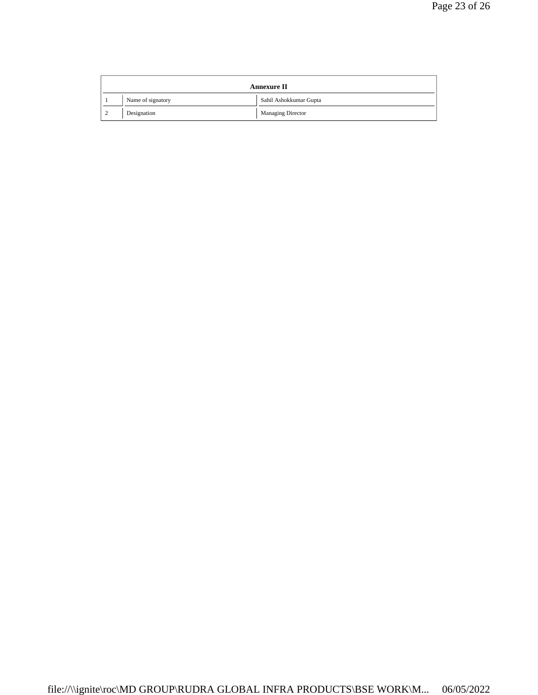|        |                   | <b>Annexure II</b>       |
|--------|-------------------|--------------------------|
|        | Name of signatory | Sahil Ashokkumar Gupta   |
| $\sim$ | Designation       | <b>Managing Director</b> |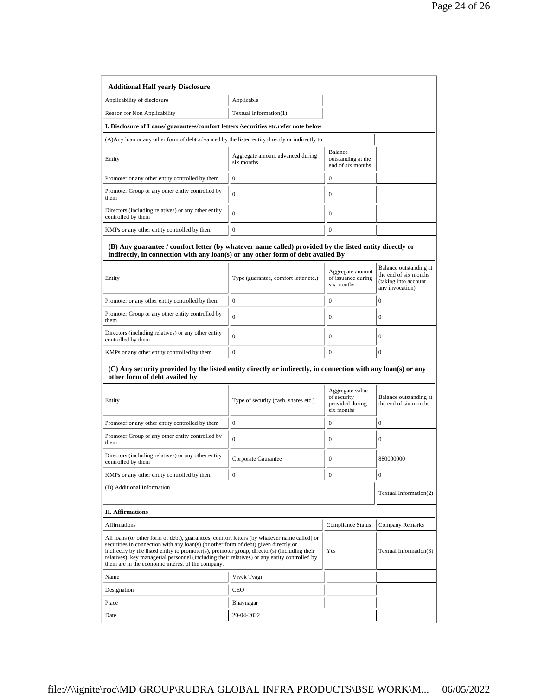| Applicable                                                                                                                                                                                                                                                                                                                                                                         |                                                      |                                                                                                                                                                                                                                                                                                                                                                                                                                               |
|------------------------------------------------------------------------------------------------------------------------------------------------------------------------------------------------------------------------------------------------------------------------------------------------------------------------------------------------------------------------------------|------------------------------------------------------|-----------------------------------------------------------------------------------------------------------------------------------------------------------------------------------------------------------------------------------------------------------------------------------------------------------------------------------------------------------------------------------------------------------------------------------------------|
| Textual Information(1)                                                                                                                                                                                                                                                                                                                                                             |                                                      |                                                                                                                                                                                                                                                                                                                                                                                                                                               |
| I. Disclosure of Loans/ guarantees/comfort letters /securities etc.refer note below                                                                                                                                                                                                                                                                                                |                                                      |                                                                                                                                                                                                                                                                                                                                                                                                                                               |
|                                                                                                                                                                                                                                                                                                                                                                                    |                                                      |                                                                                                                                                                                                                                                                                                                                                                                                                                               |
| Aggregate amount advanced during<br>six months                                                                                                                                                                                                                                                                                                                                     | Balance<br>outstanding at the<br>end of six months   |                                                                                                                                                                                                                                                                                                                                                                                                                                               |
| $\mathbf{0}$                                                                                                                                                                                                                                                                                                                                                                       | $\boldsymbol{0}$                                     |                                                                                                                                                                                                                                                                                                                                                                                                                                               |
| $\Omega$                                                                                                                                                                                                                                                                                                                                                                           | $\mathbf{0}$                                         |                                                                                                                                                                                                                                                                                                                                                                                                                                               |
| $\mathbf{0}$                                                                                                                                                                                                                                                                                                                                                                       | $\mathbf{0}$                                         |                                                                                                                                                                                                                                                                                                                                                                                                                                               |
| $\overline{0}$                                                                                                                                                                                                                                                                                                                                                                     | $\mathbf{0}$                                         |                                                                                                                                                                                                                                                                                                                                                                                                                                               |
| Type (guarantee, comfort letter etc.)                                                                                                                                                                                                                                                                                                                                              | Aggregate amount<br>of issuance during<br>six months | Balance outstanding at<br>the end of six months<br>(taking into account<br>any invocation)                                                                                                                                                                                                                                                                                                                                                    |
| $\mathbf{0}$                                                                                                                                                                                                                                                                                                                                                                       | $\boldsymbol{0}$                                     | $\mathbf{0}$                                                                                                                                                                                                                                                                                                                                                                                                                                  |
| $\mathbf{0}$                                                                                                                                                                                                                                                                                                                                                                       | $\mathbf{0}$                                         | $\mathbf{0}$                                                                                                                                                                                                                                                                                                                                                                                                                                  |
| $\Omega$                                                                                                                                                                                                                                                                                                                                                                           | $\mathbf{0}$                                         | $\mathbf{0}$                                                                                                                                                                                                                                                                                                                                                                                                                                  |
| $\mathbf{0}$                                                                                                                                                                                                                                                                                                                                                                       | $\mathbf{0}$                                         | $\mathbf{0}$                                                                                                                                                                                                                                                                                                                                                                                                                                  |
| Type of security (cash, shares etc.)                                                                                                                                                                                                                                                                                                                                               | Aggregate value<br>of security<br>provided during    | Balance outstanding at<br>the end of six months                                                                                                                                                                                                                                                                                                                                                                                               |
| $\mathbf{0}$                                                                                                                                                                                                                                                                                                                                                                       |                                                      | $\mathbf{0}$                                                                                                                                                                                                                                                                                                                                                                                                                                  |
| $\mathbf{0}$                                                                                                                                                                                                                                                                                                                                                                       | $\mathbf{0}$                                         | $\boldsymbol{0}$                                                                                                                                                                                                                                                                                                                                                                                                                              |
| Corporate Gaurantee                                                                                                                                                                                                                                                                                                                                                                | $\mathbf{0}$                                         | 880000000                                                                                                                                                                                                                                                                                                                                                                                                                                     |
| 0                                                                                                                                                                                                                                                                                                                                                                                  | 0                                                    | 0                                                                                                                                                                                                                                                                                                                                                                                                                                             |
|                                                                                                                                                                                                                                                                                                                                                                                    |                                                      | Textual Information(2)                                                                                                                                                                                                                                                                                                                                                                                                                        |
|                                                                                                                                                                                                                                                                                                                                                                                    |                                                      |                                                                                                                                                                                                                                                                                                                                                                                                                                               |
|                                                                                                                                                                                                                                                                                                                                                                                    |                                                      |                                                                                                                                                                                                                                                                                                                                                                                                                                               |
|                                                                                                                                                                                                                                                                                                                                                                                    | Compliance Status                                    | Company Remarks                                                                                                                                                                                                                                                                                                                                                                                                                               |
| All loans (or other form of debt), guarantees, comfort letters (by whatever name called) or<br>securities in connection with any loan(s) (or other form of debt) given directly or<br>indirectly by the listed entity to promoter(s), promoter group, director(s) (including their<br>relatives), key managerial personnel (including their relatives) or any entity controlled by | Yes                                                  |                                                                                                                                                                                                                                                                                                                                                                                                                                               |
| Vivek Tyagi                                                                                                                                                                                                                                                                                                                                                                        |                                                      |                                                                                                                                                                                                                                                                                                                                                                                                                                               |
| CEO                                                                                                                                                                                                                                                                                                                                                                                |                                                      |                                                                                                                                                                                                                                                                                                                                                                                                                                               |
| Bhavnagar                                                                                                                                                                                                                                                                                                                                                                          |                                                      | Textual Information(3)                                                                                                                                                                                                                                                                                                                                                                                                                        |
|                                                                                                                                                                                                                                                                                                                                                                                    |                                                      | (A) Any loan or any other form of debt advanced by the listed entity directly or indirectly to<br>(B) Any guarantee / comfort letter (by whatever name called) provided by the listed entity directly or<br>indirectly, in connection with any loan(s) or any other form of debt availed By<br>(C) Any security provided by the listed entity directly or indirectly, in connection with any loan(s) or any<br>six months<br>$\boldsymbol{0}$ |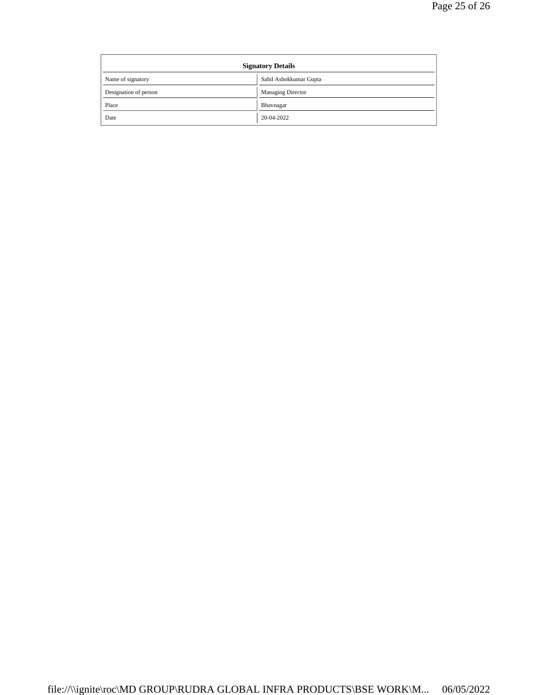| <b>Signatory Details</b> |                          |
|--------------------------|--------------------------|
| Name of signatory        | Sahil Ashokkumar Gupta   |
| Designation of person    | <b>Managing Director</b> |
| Place                    | Bhavnagar                |
| Date                     | 20-04-2022               |